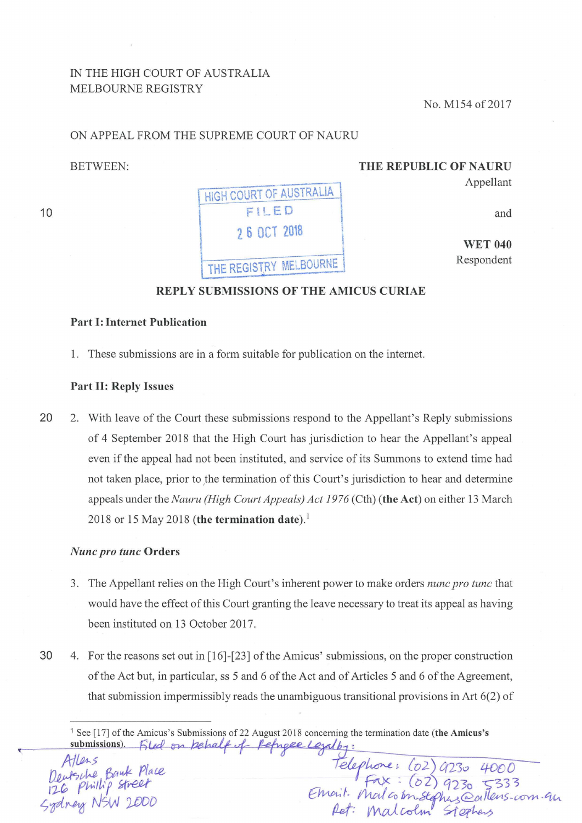# IN THE HIGH COURT OF AUSTRALIA MELBOURNE REGISTRY

No. M154 of 2017

# ON APPEAL FROM THE SUPREME COURT OF NAURU

BETWEEN:

10

THE REPUBLIC OF NAURU Appellant

HIGH COURT OF AUSTRALIA

FILED

2 6 OCT 2018

THE REGISTRY MELBOURNE

and

WET 040 Respondent

### REPLY SUBMISSIONS OF THE AMICUS CURIAE

# Part 1: Internet Publication

1. These submissions are in a form suitable for publication on the internet.

#### Part II: Reply Issues

20 2. With leave of the Court these submissions respond to the Appellant's Reply submissions of 4 September 2018 that the High Court has jurisdiction to hear the Appellant's appeal even if the appeal had not been instituted, and service of its Summons to extend time had not taken place, prior to the termination of this Court's jurisdiction to hear and determine appeals under the *Nauru (High Court Appeals) Act 1976* (Cth) (the Act) on either 13 March 2018 or 15 May 2018 (the termination date).<sup>1</sup>

#### *Nunc pro tunc* Orders

- 3. The Appellant relies on the High Court's inherent power to make orders *nunc pro tunc* that would have the effect of this Court granting the leave necessary to treat its appeal as having been instituted on 13 October 2017.
- 30 4. For the reasons set out in (16]-(23] of the Amicus' submissions, on the proper construction of the Act but, in particular, ss 5 and 6 of the Act and of Articles 5 and 6 of the Agreement, that submission impermissibly reads the unambiguous transitional provisions in Art 6(2) of

<sup>1</sup> See [17] of the Amicus's Submissions of 22 August 2018 concerning the termination date (the Amicus's<br>
submissions). Filed on *hehalf* of Pepapee Legalby:<br>
Pelphone: *Co2*) 9230 4000<br>
126 Phillip street<br>
126 Phillip stree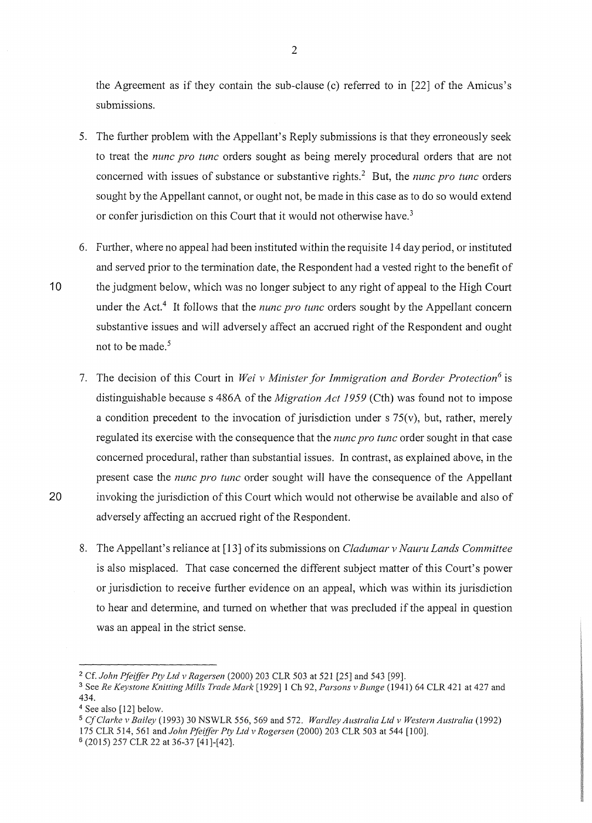the Agreement as if they contain the sub-clause (c) referred to in [22] of the Amicus's submissions.

- 5. The further problem with the Appellant's Reply submissions is that they erroneously seek to treat the *nunc pro tunc* orders sought as being merely procedural orders that are not concerned with issues of substance or substantive rights. 2 But, the *nunc pro tunc* orders sought by the Appellant cannot, or ought not, be made in this case as to do so would extend or confer jurisdiction on this Court that it would not otherwise have.<sup>3</sup>
- 6. Futiher, where no appeal had been instituted within the requisite 14 day period, or instituted and served prior to the tennination date, the Respondent had a vested right to the benefit of 10 the judgment below, which was no longer subject to any right of appeal to the High Court under the Act.<sup>4</sup> It follows that the *nunc pro tunc* orders sought by the Appellant concern substantive issues and will adversely affect an accrued right of the Respondent and ought not to be made. *<sup>5</sup>*
- 7. The decision of this Court in *Wei v Minister for Immigration and Border Protection6* is distinguishable because s 486A of the *Migration Act 1959* (Cth) was found not to impose a condition precedent to the invocation of jurisdiction under  $s$  75(v), but, rather, merely regulated its exercise with the consequence that the *nunc pro tunc* order sought in that case concerned procedural, rather than substantial issues. In contrast, as explained above, in the present case the *nunc pro tunc* order sought will have the consequence of the Appellant 20 invoking the jurisdiction of this Court which would not otherwise be available and also of adversely affecting an accrued right of the Respondent.
	- 8. The Appellant's reliance at [13] of its submissions on *Cladumar v Nauru Lands Committee*  is also misplaced. That case concerned the different subject matter of this Court's power or jurisdiction to receive further evidence on an appeal, which was within its jurisdiction to hear and determine, and turned on whether that was precluded if the appeal in question was an appeal in the strict sense.

<sup>&</sup>lt;sup>2</sup> Cf. *John Pfeiffer Pty Ltd v Ragersen* (2000) 203 CLR 503 at 521 [25] and 543 [99].

<sup>3</sup> See *Re Keystone Knitting Mills Trade Mark* [1929] 1 Ch 92, *Parsons v Bunge* (1941) 64 CLR 421 at 427 and 434.

<sup>4</sup> See also [12] below.

<sup>5</sup>*CfClarke v Bailey* (1993) 30 NSWLR 556, 569 and 572. *Wardley Australia Ltd v Western Australia* (1992) 175 CLR 514, 561 and *John Pfeiffer Pty Ltd v Rogersen* (2000) 203 CLR 503 at 544 [100].

<sup>6 (2015) 257</sup> CLR 22 at 36-37 [41]-[42].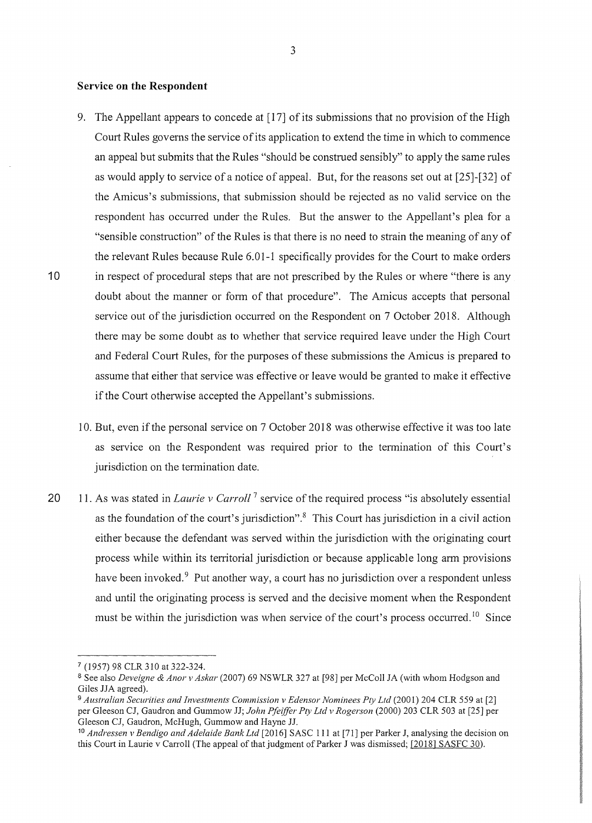#### **Service on the Respondent**

- 9. The Appellant appears to concede at [17] of its submissions that no provision of the High Court Rules governs the service of its application to extend the time in which to commence an appeal but submits that the Rules "should be construed sensibly" to apply the same rules as would apply to service of a notice of appeal. But, for the reasons set out at [25]-[32] of the Amicus's submissions, that submission should be rejected as no valid service on the respondent has occurred under the Rules. But the answer to the Appellant's plea for a "sensible construction" of the Rules is that there is no need to strain the meaning of any of the relevant Rules because Rule 6.01-1 specifically provides for the Court to make orders 10 in respect of procedural steps that are not prescribed by the Rules or where "there is any doubt about the manner or form of that procedure". The Amicus accepts that personal service out of the jurisdiction occurred on the Respondent on 7 October 2018. Although there may be some doubt as to whether that service required leave under the High Court and Federal Court Rules, for the purposes of these submissions the Amicus is prepared to assume that either that service was effective or leave would be granted to make it effective if the Court otherwise accepted the Appellant's submissions.
	- 10. But, even if the personal service on 7 October 2018 was otherwise effective it was too late as service on the Respondent was required prior to the tennination of this Court's jurisdiction on the termination date.
- 20 11. As was stated in *Laurie v Carroll*<sup>7</sup> service of the required process "is absolutely essential as the foundation of the court's jurisdiction". $8$  This Court has jurisdiction in a civil action either because the defendant was served within the jurisdiction with the originating court process while within its territorial jurisdiction or because applicable long arm provisions have been invoked.<sup>9</sup> Put another way, a court has no jurisdiction over a respondent unless and until the originating process is served and the decisive moment when the Respondent must be within the jurisdiction was when service of the court's process occurred.<sup>10</sup> Since

<sup>7 (1957) 98</sup> CLR 310 at 322-324.

<sup>8</sup> See also *Deveigne & Anor v Askar* (2007) 69 NSWLR 327 at [98] per McColl JA (with whom Hodgson and Giles JJA agreed).

<sup>9</sup>*Australian Securities and Investments Commission v Edensor Nominees Pty Ltd* (2001) 204 CLR 559 at [2] per Gleeson CJ, Gaudron and Gummow JJ; *John Pfeiffer Pty Ltd v Rogerson* (2000) 203 CLR 503 at [25] per Gleeson CJ, Gaudron, McHugh, Gummow and Hayne JJ.

<sup>10</sup>*Andressen v Bendigo and Adelaide Bank Ltd* [2016] SASC Ill at [71] per Parker J, analysing the decision on this Court in Laurie v Carroll (The appeal of that judgment of Parker J was dismissed; [2018] SASFC 30).